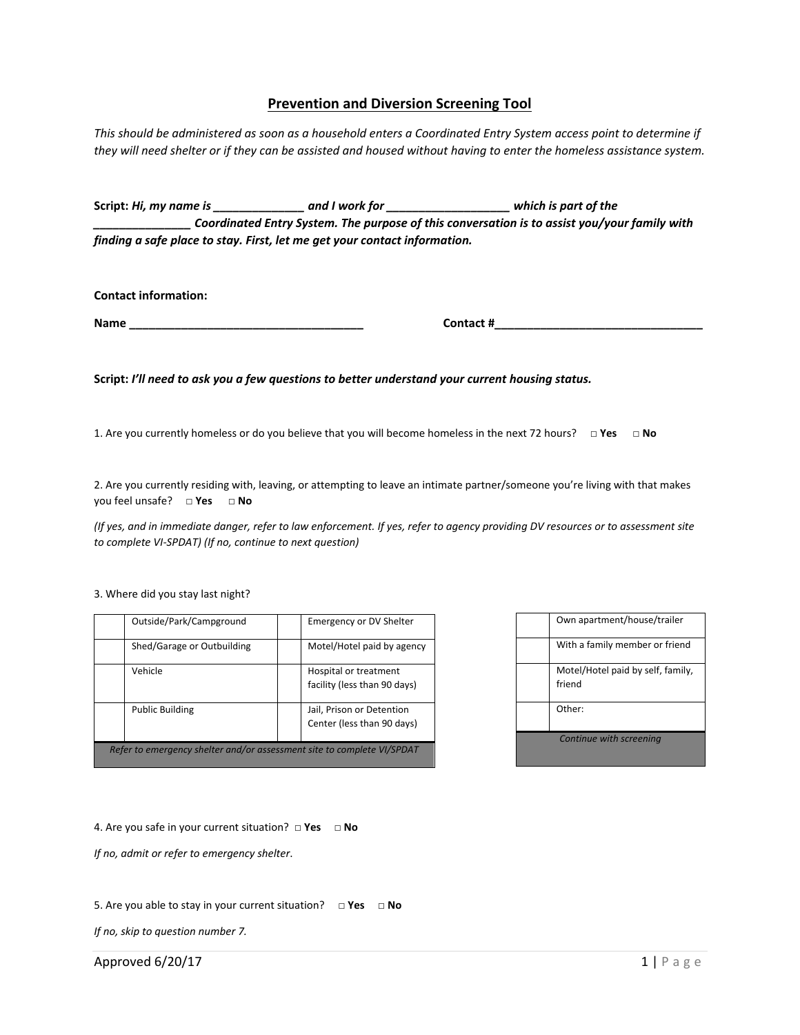## **Prevention and Diversion Screening Tool**

*This should be administered as soon as a household enters a Coordinated Entry System access point to determine if they will need shelter or if they can be assisted and housed without having to enter the homeless assistance system.*

**Script:** *Hi, my name is \_\_\_\_\_\_\_\_\_\_\_\_\_\_ and I work for \_\_\_\_\_\_\_\_\_\_\_\_\_\_\_\_\_\_\_ which is part of the \_\_\_\_\_\_\_\_\_\_\_\_\_\_\_ Coordinated Entry System. The purpose of this conversation is to assist you/your family with finding a safe place to stay. First, let me get your contact information.*

**Contact information:**

**Name \_\_\_\_\_\_\_\_\_\_\_\_\_\_\_\_\_\_\_\_\_\_\_\_\_\_\_\_\_\_\_\_\_\_\_\_ Contact #\_\_\_\_\_\_\_\_\_\_\_\_\_\_\_\_\_\_\_\_\_\_\_\_\_\_\_\_\_\_\_\_**

**Script:** *I'll need to ask you a few questions to better understand your current housing status.* 

1. Are you currently homeless or do you believe that you will become homeless in the next 72 hours? **□ Yes □ No**

2. Are you currently residing with, leaving, or attempting to leave an intimate partner/someone you're living with that makes you feel unsafe? **□ Yes □ No**

*(If yes, and in immediate danger, refer to law enforcement. If yes, refer to agency providing DV resources or to assessment site to complete VI-SPDAT) (If no, continue to next question)*

3. Where did you stay last night?

| Outside/Park/Campground                                                | <b>Emergency or DV Shelter</b>                          |  |  |  |
|------------------------------------------------------------------------|---------------------------------------------------------|--|--|--|
| Shed/Garage or Outbuilding                                             | Motel/Hotel paid by agency                              |  |  |  |
| Vehicle                                                                | Hospital or treatment<br>facility (less than 90 days)   |  |  |  |
| <b>Public Building</b>                                                 | Jail, Prison or Detention<br>Center (less than 90 days) |  |  |  |
| Refer to emergency shelter and/or assessment site to complete VI/SPDAT |                                                         |  |  |  |

|                         | Own apartment/house/trailer                 |  |
|-------------------------|---------------------------------------------|--|
|                         | With a family member or friend              |  |
|                         | Motel/Hotel paid by self, family,<br>friend |  |
|                         | Other:                                      |  |
| Continue with screening |                                             |  |

4. Are you safe in your current situation? **□ Yes □ No**

*If no, admit or refer to emergency shelter*.

5. Are you able to stay in your current situation? **□ Yes □ No**

*If no, skip to question number 7.*

Approved 6/20/17  $\qquad \qquad 1 \mid P \text{ a } g \in$